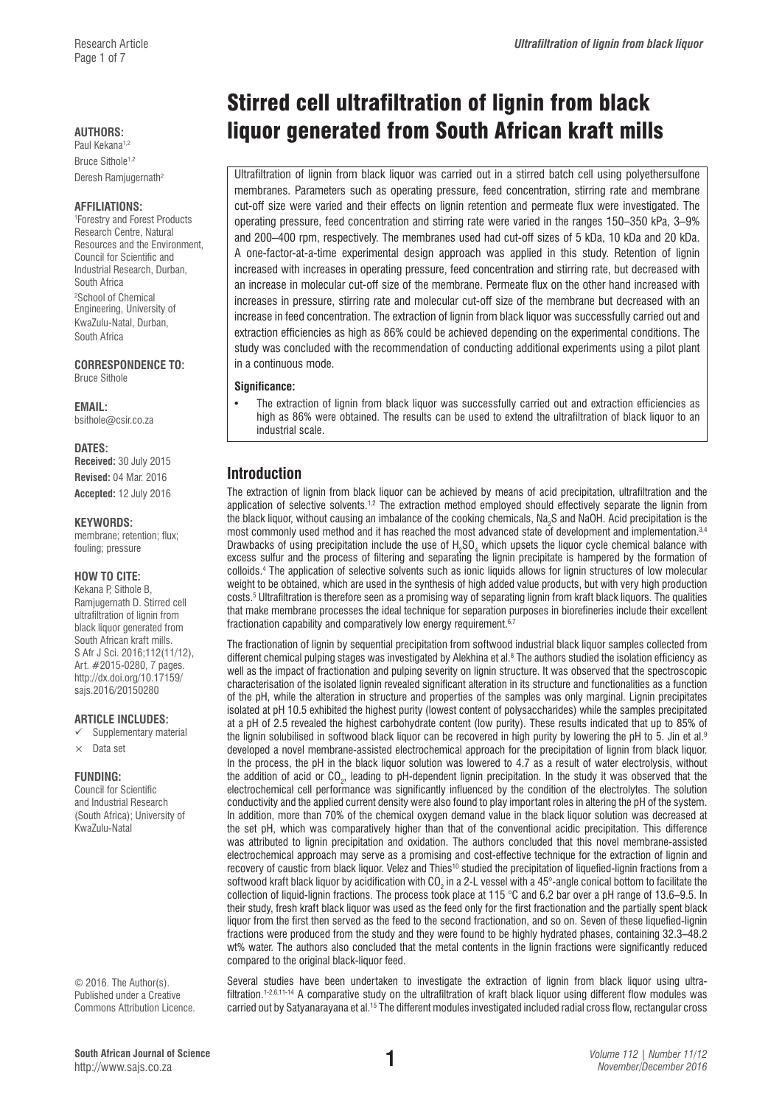Bruce Sithole<sup>1,2</sup> Deresh Ramjugernath<sup>2</sup>

#### **AFFILIATIONS:**

1 Forestry and Forest Products Research Centre, Natural Resources and the Environment, Council for Scientific and Industrial Research, Durban, South Africa <sup>2</sup>School of Chemical Engineering, University of KwaZulu-Natal, Durban, South Africa

**CORRESPONDENCE TO:**  Bruce Sithole

**EMAIL:** 

[bsithole@csir.co.za](mailto:bsithole@csir.co.za)

#### **DATES:**

**Received:** 30 July 2015 **Revised:** 04 Mar. 2016 **Accepted:** 12 July 2016

#### **KEYWORDS:**

membrane; retention; flux; fouling; pressure

#### **HOW TO CITE:**

Kekana P, Sithole B, Ramjugernath D. Stirred cell ultrafiltration of lignin from black liquor generated from South African kraft mills. S Afr J Sci. 2016;112(11/12), Art. #2015-0280, 7 pages. [http://dx.doi.org/10.17159/](http://dx.doi.org/10.17159/sajs.2016/20150280) [sajs.2016/20150280](http://dx.doi.org/10.17159/sajs.2016/20150280)

#### **ARTICLE INCLUDES:**

- Supplementary material
- $\times$  Data set

#### **FUNDING:**

Council for Scientific and Industrial Research (South Africa); University of KwaZulu-Natal

© 2016. The Author(s). Published under a Creative Commons Attribution Licence.

# Stirred cell ultrafiltration of lignin from black **AUTHORS: liquor generated from South African kraft mills** Paul Kekana<sup>1,2</sup>

Ultrafiltration of lignin from black liquor was carried out in a stirred batch cell using polyethersulfone membranes. Parameters such as operating pressure, feed concentration, stirring rate and membrane cut-off size were varied and their effects on lignin retention and permeate flux were investigated. The operating pressure, feed concentration and stirring rate were varied in the ranges 150–350 kPa, 3–9% and 200–400 rpm, respectively. The membranes used had cut-off sizes of 5 kDa, 10 kDa and 20 kDa. A one-factor-at-a-time experimental design approach was applied in this study. Retention of lignin increased with increases in operating pressure, feed concentration and stirring rate, but decreased with an increase in molecular cut-off size of the membrane. Permeate flux on the other hand increased with increases in pressure, stirring rate and molecular cut-off size of the membrane but decreased with an increase in feed concentration. The extraction of lignin from black liquor was successfully carried out and extraction efficiencies as high as 86% could be achieved depending on the experimental conditions. The study was concluded with the recommendation of conducting additional experiments using a pilot plant in a continuous mode.

#### **Significance:**

• The extraction of lignin from black liquor was successfully carried out and extraction efficiencies as high as 86% were obtained. The results can be used to extend the ultrafiltration of black liquor to an industrial scale.

# **Introduction**

The extraction of lignin from black liquor can be achieved by means of acid precipitation, ultrafiltration and the application of selective solvents.<sup>1,2</sup> The extraction method employed should effectively separate the lignin from the black liquor, without causing an imbalance of the cooking chemicals, Na<sub>2</sub>S and NaOH. Acid precipitation is the most commonly used method and it has reached the most advanced state of development and implementation.<sup>3,4</sup> Drawbacks of using precipitation include the use of  $H_2SO_4$  which upsets the liquor cycle chemical balance with excess sulfur and the process of filtering and separating the lignin precipitate is hampered by the formation of colloids.4 The application of selective solvents such as ionic liquids allows for lignin structures of low molecular weight to be obtained, which are used in the synthesis of high added value products, but with very high production costs.5 Ultrafiltration is therefore seen as a promising way of separating lignin from kraft black liquors. The qualities that make membrane processes the ideal technique for separation purposes in biorefineries include their excellent fractionation capability and comparatively low energy requirement.<sup>6,7</sup>

The fractionation of lignin by sequential precipitation from softwood industrial black liquor samples collected from different chemical pulping stages was investigated by Alekhina et al.<sup>8</sup> The authors studied the isolation efficiency as well as the impact of fractionation and pulping severity on lignin structure. It was observed that the spectroscopic characterisation of the isolated lignin revealed significant alteration in its structure and functionalities as a function of the pH, while the alteration in structure and properties of the samples was only marginal. Lignin precipitates isolated at pH 10.5 exhibited the highest purity (lowest content of polysaccharides) while the samples precipitated at a pH of 2.5 revealed the highest carbohydrate content (low purity). These results indicated that up to 85% of the lignin solubilised in softwood black liquor can be recovered in high purity by lowering the pH to 5. Jin et al.<sup>9</sup> developed a novel membrane-assisted electrochemical approach for the precipitation of lignin from black liquor. In the process, the pH in the black liquor solution was lowered to 4.7 as a result of water electrolysis, without the addition of acid or CO<sub>2</sub>, leading to pH-dependent lignin precipitation. In the study it was observed that the electrochemical cell performance was significantly influenced by the condition of the electrolytes. The solution conductivity and the applied current density were also found to play important roles in altering the pH of the system. In addition, more than 70% of the chemical oxygen demand value in the black liquor solution was decreased at the set pH, which was comparatively higher than that of the conventional acidic precipitation. This difference was attributed to lignin precipitation and oxidation. The authors concluded that this novel membrane-assisted electrochemical approach may serve as a promising and cost-effective technique for the extraction of lignin and recovery of caustic from black liquor. Velez and Thies<sup>10</sup> studied the precipitation of liquefied-lignin fractions from a softwood kraft black liquor by acidification with CO<sub>2</sub> in a 2-L vessel with a 45°-angle conical bottom to facilitate the collection of liquid-lignin fractions. The process took place at 115 °C and 6.2 bar over a pH range of 13.6–9.5. In their study, fresh kraft black liquor was used as the feed only for the first fractionation and the partially spent black liquor from the first then served as the feed to the second fractionation, and so on. Seven of these liquefied-lignin fractions were produced from the study and they were found to be highly hydrated phases, containing 32.3–48.2 wt% water. The authors also concluded that the metal contents in the lignin fractions were significantly reduced compared to the original black-liquor feed.

Several studies have been undertaken to investigate the extraction of lignin from black liquor using ultrafiltration.<sup>1-2,6,11-14</sup> A comparative study on the ultrafiltration of kraft black liquor using different flow modules was carried out by Satyanarayana et al.15 The different modules investigated included radial cross flow, rectangular cross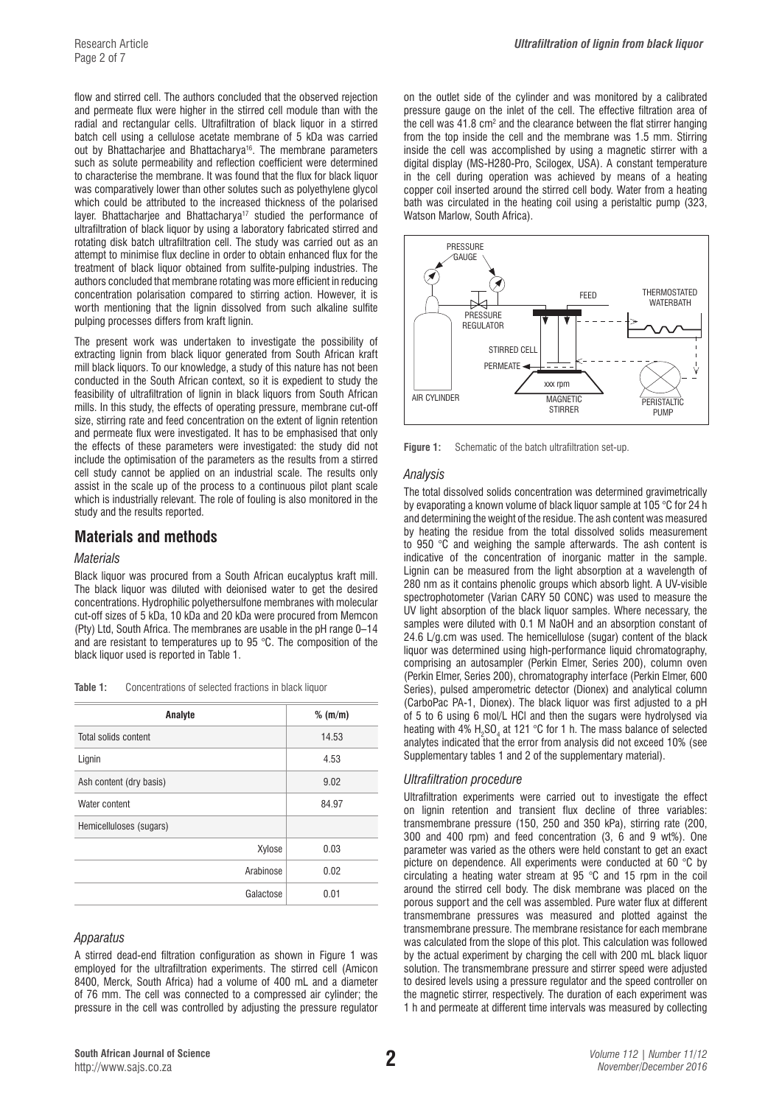flow and stirred cell. The authors concluded that the observed rejection and permeate flux were higher in the stirred cell module than with the radial and rectangular cells. Ultrafiltration of black liquor in a stirred batch cell using a cellulose acetate membrane of 5 kDa was carried out by Bhattacharjee and Bhattacharya<sup>16</sup>. The membrane parameters such as solute permeability and reflection coefficient were determined to characterise the membrane. It was found that the flux for black liquor was comparatively lower than other solutes such as polyethylene glycol which could be attributed to the increased thickness of the polarised layer. Bhattacharjee and Bhattacharya<sup>17</sup> studied the performance of ultrafiltration of black liquor by using a laboratory fabricated stirred and rotating disk batch ultrafiltration cell. The study was carried out as an attempt to minimise flux decline in order to obtain enhanced flux for the treatment of black liquor obtained from sulfite-pulping industries. The authors concluded that membrane rotating was more efficient in reducing concentration polarisation compared to stirring action. However, it is worth mentioning that the lignin dissolved from such alkaline sulfite pulping processes differs from kraft lignin.

The present work was undertaken to investigate the possibility of extracting lignin from black liquor generated from South African kraft mill black liquors. To our knowledge, a study of this nature has not been conducted in the South African context, so it is expedient to study the feasibility of ultrafiltration of lignin in black liquors from South African mills. In this study, the effects of operating pressure, membrane cut-off size, stirring rate and feed concentration on the extent of lignin retention and permeate flux were investigated. It has to be emphasised that only the effects of these parameters were investigated: the study did not include the optimisation of the parameters as the results from a stirred cell study cannot be applied on an industrial scale. The results only assist in the scale up of the process to a continuous pilot plant scale which is industrially relevant. The role of fouling is also monitored in the study and the results reported.

# **Materials and methods**

#### *Materials*

Black liquor was procured from a South African eucalyptus kraft mill. The black liquor was diluted with deionised water to get the desired concentrations. Hydrophilic polyethersulfone membranes with molecular cut-off sizes of 5 kDa, 10 kDa and 20 kDa were procured from Memcon (Pty) Ltd, South Africa. The membranes are usable in the pH range 0–14 and are resistant to temperatures up to 95 °C. The composition of the black liquor used is reported in Table 1.

| Table 1:<br>Concentrations of selected fractions in black liquor |  |
|------------------------------------------------------------------|--|
|------------------------------------------------------------------|--|

| Analyte                 | $%$ (m/m) |
|-------------------------|-----------|
| Total solids content    | 14.53     |
| Lignin                  | 4.53      |
| Ash content (dry basis) | 9.02      |
| Water content           | 84.97     |
| Hemicelluloses (sugars) |           |
| Xylose                  | 0.03      |
| Arabinose               | 0.02      |
| Galactose               | 0.01      |

#### *Apparatus*

A stirred dead-end filtration configuration as shown in Figure 1 was employed for the ultrafiltration experiments. The stirred cell (Amicon 8400, Merck, South Africa) had a volume of 400 mL and a diameter of 76 mm. The cell was connected to a compressed air cylinder; the pressure in the cell was controlled by adjusting the pressure regulator on the outlet side of the cylinder and was monitored by a calibrated pressure gauge on the inlet of the cell. The effective filtration area of the cell was  $41.8 \text{ cm}^2$  and the clearance between the flat stirrer hanging from the top inside the cell and the membrane was 1.5 mm. Stirring inside the cell was accomplished by using a magnetic stirrer with a digital display (MS-H280-Pro, Scilogex, USA). A constant temperature in the cell during operation was achieved by means of a heating copper coil inserted around the stirred cell body. Water from a heating bath was circulated in the heating coil using a peristaltic pump (323, Watson Marlow, South Africa).



**Figure 1:** Schematic of the batch ultrafiltration set-up.

#### *Analysis*

The total dissolved solids concentration was determined gravimetrically by evaporating a known volume of black liquor sample at 105 °C for 24 h and determining the weight of the residue. The ash content was measured by heating the residue from the total dissolved solids measurement to 950 °C and weighing the sample afterwards. The ash content is indicative of the concentration of inorganic matter in the sample. Lignin can be measured from the light absorption at a wavelength of 280 nm as it contains phenolic groups which absorb light. A UV-visible spectrophotometer (Varian CARY 50 CONC) was used to measure the UV light absorption of the black liquor samples. Where necessary, the samples were diluted with 0.1 M NaOH and an absorption constant of 24.6 L/g.cm was used. The hemicellulose (sugar) content of the black liquor was determined using high-performance liquid chromatography, comprising an autosampler (Perkin Elmer, Series 200), column oven (Perkin Elmer, Series 200), chromatography interface (Perkin Elmer, 600 Series), pulsed amperometric detector (Dionex) and analytical column (CarboPac PA-1, Dionex). The black liquor was first adjusted to a pH of 5 to 6 using 6 mol/L HCl and then the sugars were hydrolysed via heating with 4%  $H_2$ SO<sub>4</sub> at 121 °C for 1 h. The mass balance of selected analytes indicated that the error from analysis did not exceed 10% (see Supplementary tables 1 and 2 of the supplementary material).

#### *Ultrafiltration procedure*

Ultrafiltration experiments were carried out to investigate the effect on lignin retention and transient flux decline of three variables: transmembrane pressure (150, 250 and 350 kPa), stirring rate (200, 300 and 400 rpm) and feed concentration (3, 6 and 9 wt%). One parameter was varied as the others were held constant to get an exact picture on dependence. All experiments were conducted at 60 °C by circulating a heating water stream at 95 °C and 15 rpm in the coil around the stirred cell body. The disk membrane was placed on the porous support and the cell was assembled. Pure water flux at different transmembrane pressures was measured and plotted against the transmembrane pressure. The membrane resistance for each membrane was calculated from the slope of this plot. This calculation was followed by the actual experiment by charging the cell with 200 mL black liquor solution. The transmembrane pressure and stirrer speed were adjusted to desired levels using a pressure regulator and the speed controller on the magnetic stirrer, respectively. The duration of each experiment was 1 h and permeate at different time intervals was measured by collecting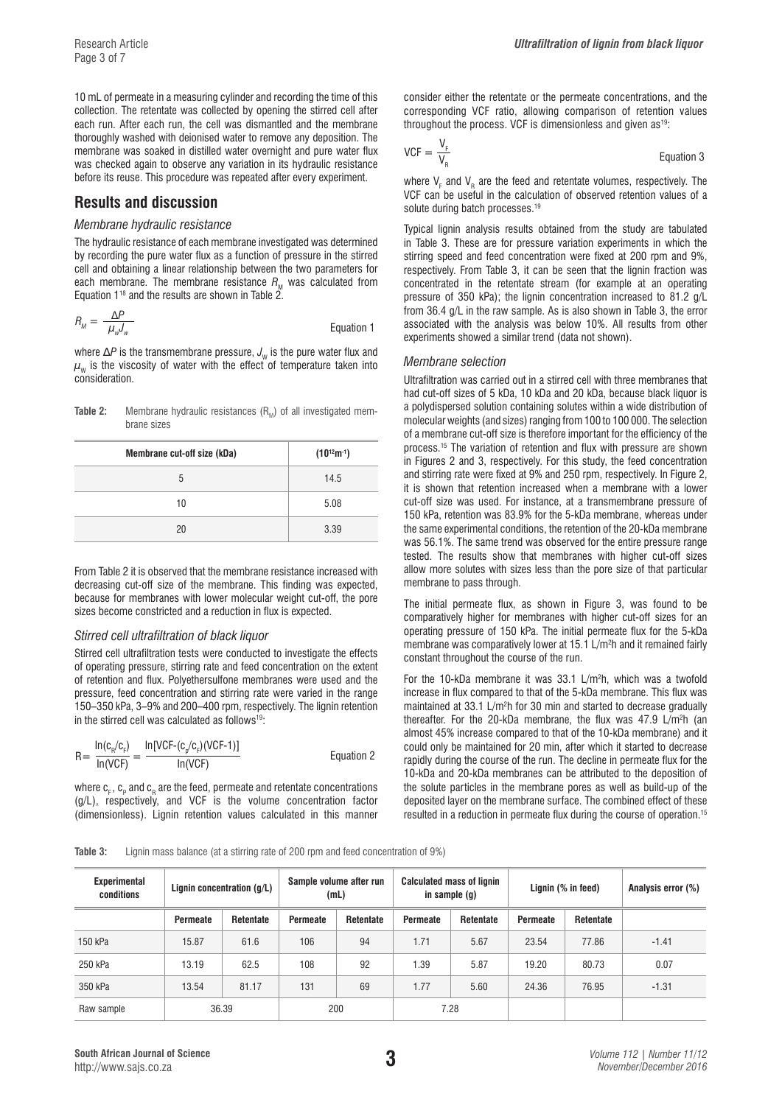10 mL of permeate in a measuring cylinder and recording the time of this collection. The retentate was collected by opening the stirred cell after each run. After each run, the cell was dismantled and the membrane thoroughly washed with deionised water to remove any deposition. The membrane was soaked in distilled water overnight and pure water flux was checked again to observe any variation in its hydraulic resistance before its reuse. This procedure was repeated after every experiment.

# **Results and discussion**

#### *Membrane hydraulic resistance*

The hydraulic resistance of each membrane investigated was determined by recording the pure water flux as a function of pressure in the stirred cell and obtaining a linear relationship between the two parameters for each membrane. The membrane resistance  $R_{\text{M}}$  was calculated from Equation  $1^{18}$  and the results are shown in Table  $2^{6}$ .

$$
R_M = \frac{\Delta P}{\mu_w J_w}
$$
 Equation 1

where  $\Delta P$  is the transmembrane pressure,  $J_w$  is the pure water flux and  $\mu_w$  is the viscosity of water with the effect of temperature taken into consideration.

**Table 2:** Membrane hydraulic resistances (R<sub>M</sub>) of all investigated membrane sizes

| Membrane cut-off size (kDa) | $(10^{12}m^{-1})$ |
|-----------------------------|-------------------|
| 5                           | 14.5              |
| 10                          | 5.08              |
| 20                          | 3.39              |

From Table 2 it is observed that the membrane resistance increased with decreasing cut-off size of the membrane. This finding was expected, because for membranes with lower molecular weight cut-off, the pore sizes become constricted and a reduction in flux is expected.

#### *Stirred cell ultrafiltration of black liquor*

Stirred cell ultrafiltration tests were conducted to investigate the effects of operating pressure, stirring rate and feed concentration on the extent of retention and flux. Polyethersulfone membranes were used and the pressure, feed concentration and stirring rate were varied in the range 150–350 kPa, 3–9% and 200–400 rpm, respectively. The lignin retention in the stirred cell was calculated as follows $19$ :

$$
R = \frac{\ln(c_n/c_r)}{\ln(VCF)} = \frac{\ln[VCF - (c_p/c_r)(VCF - 1)]}{\ln(VCF)} \tag{Equation 2}
$$

where  ${\mathsf c}_{_{\sf F}}$ ,  ${\mathsf c}_{_{\sf P}}$  and  ${\mathsf c}_{_{\sf R}}$  are the feed, permeate and retentate concentrations  $(g/L)$ , respectively, and VCF is the volume concentration factor (dimensionless). Lignin retention values calculated in this manner consider either the retentate or the permeate concentrations, and the corresponding VCF ratio, allowing comparison of retention values throughout the process. VCF is dimensionless and given as<sup>19</sup>:

$$
VCF = \frac{V_F}{V_R}
$$
 Equation 3

where  $V_F$  and  $V_R$  are the feed and retentate volumes, respectively. The VCF can be useful in the calculation of observed retention values of a solute during batch processes.<sup>19</sup>

Typical lignin analysis results obtained from the study are tabulated in Table 3. These are for pressure variation experiments in which the stirring speed and feed concentration were fixed at 200 rpm and 9%, respectively. From Table 3, it can be seen that the lignin fraction was concentrated in the retentate stream (for example at an operating pressure of 350 kPa); the lignin concentration increased to 81.2 g/L from 36.4 g/L in the raw sample. As is also shown in Table 3, the error associated with the analysis was below 10%. All results from other experiments showed a similar trend (data not shown).

#### *Membrane selection*

Ultrafiltration was carried out in a stirred cell with three membranes that had cut-off sizes of 5 kDa, 10 kDa and 20 kDa, because black liquor is a polydispersed solution containing solutes within a wide distribution of molecular weights (and sizes) ranging from 100 to 100 000. The selection of a membrane cut-off size is therefore important for the efficiency of the process.15 The variation of retention and flux with pressure are shown in Figures 2 and 3, respectively. For this study, the feed concentration and stirring rate were fixed at 9% and 250 rpm, respectively. In Figure 2, it is shown that retention increased when a membrane with a lower cut-off size was used. For instance, at a transmembrane pressure of 150 kPa, retention was 83.9% for the 5-kDa membrane, whereas under the same experimental conditions, the retention of the 20-kDa membrane was 56.1%. The same trend was observed for the entire pressure range tested. The results show that membranes with higher cut-off sizes allow more solutes with sizes less than the pore size of that particular membrane to pass through.

The initial permeate flux, as shown in Figure 3, was found to be comparatively higher for membranes with higher cut-off sizes for an operating pressure of 150 kPa. The initial permeate flux for the 5-kDa membrane was comparatively lower at 15.1 L/m<sup>2</sup>h and it remained fairly constant throughout the course of the run.

For the 10-kDa membrane it was  $33.1$  L/m<sup>2</sup>h, which was a twofold increase in flux compared to that of the 5-kDa membrane. This flux was maintained at 33.1 L/m<sup>2</sup>h for 30 min and started to decrease gradually thereafter. For the 20-kDa membrane, the flux was 47.9 L/m<sup>2</sup>h (an almost 45% increase compared to that of the 10-kDa membrane) and it could only be maintained for 20 min, after which it started to decrease rapidly during the course of the run. The decline in permeate flux for the 10-kDa and 20-kDa membranes can be attributed to the deposition of the solute particles in the membrane pores as well as build-up of the deposited layer on the membrane surface. The combined effect of these resulted in a reduction in permeate flux during the course of operation.15

**Table 3:** Lignin mass balance (at a stirring rate of 200 rpm and feed concentration of 9%)

| <b>Experimental</b><br>conditions | Lignin concentration $(q/L)$ |                  | Sample volume after run<br>(mL) |                  | <b>Calculated mass of lignin</b><br>in sample $(q)$ |           | Lignin (% in feed) |                  | Analysis error (%) |
|-----------------------------------|------------------------------|------------------|---------------------------------|------------------|-----------------------------------------------------|-----------|--------------------|------------------|--------------------|
|                                   | Permeate                     | <b>Retentate</b> | <b>Permeate</b>                 | <b>Retentate</b> | Permeate                                            | Retentate | <b>Permeate</b>    | <b>Retentate</b> |                    |
| 150 kPa                           | 15.87                        | 61.6             | 106                             | 94               | 1.71                                                | 5.67      | 23.54              | 77.86            | $-1.41$            |
| 250 kPa                           | 13.19                        | 62.5             | 108                             | 92               | 1.39                                                | 5.87      | 19.20              | 80.73            | 0.07               |
| 350 kPa                           | 13.54                        | 81.17            | 131                             | 69               | 1.77                                                | 5.60      | 24.36              | 76.95            | $-1.31$            |
| Raw sample                        |                              | 36.39            | 200                             |                  | 7.28                                                |           |                    |                  |                    |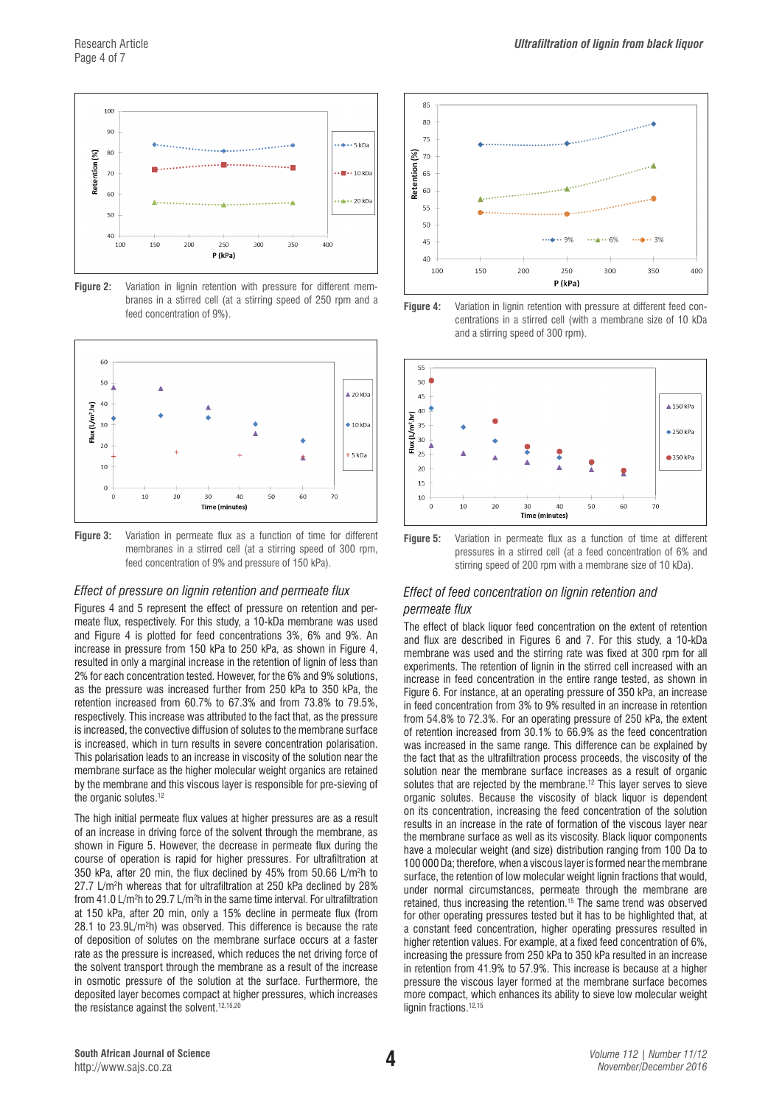

**Figure 2:** Variation in lignin retention with pressure for different membranes in a stirred cell (at a stirring speed of 250 rpm and a feed concentration of 9%).



**Figure 3:** Variation in permeate flux as a function of time for different membranes in a stirred cell (at a stirring speed of 300 rpm, feed concentration of 9% and pressure of 150 kPa).

#### *Effect of pressure on lignin retention and permeate flux*

Figures 4 and 5 represent the effect of pressure on retention and permeate flux, respectively. For this study, a 10-kDa membrane was used and Figure 4 is plotted for feed concentrations 3%, 6% and 9%. An increase in pressure from 150 kPa to 250 kPa, as shown in Figure 4, resulted in only a marginal increase in the retention of lignin of less than 2% for each concentration tested. However, for the 6% and 9% solutions, as the pressure was increased further from 250 kPa to 350 kPa, the retention increased from 60.7% to 67.3% and from 73.8% to 79.5%, respectively. This increase was attributed to the fact that, as the pressure is increased, the convective diffusion of solutes to the membrane surface is increased, which in turn results in severe concentration polarisation. This polarisation leads to an increase in viscosity of the solution near the membrane surface as the higher molecular weight organics are retained by the membrane and this viscous layer is responsible for pre-sieving of the organic solutes.12

The high initial permeate flux values at higher pressures are as a result of an increase in driving force of the solvent through the membrane, as shown in Figure 5. However, the decrease in permeate flux during the course of operation is rapid for higher pressures. For ultrafiltration at 350 kPa, after 20 min, the flux declined by 45% from 50.66 L/m2 h to 27.7 L/m2 h whereas that for ultrafiltration at 250 kPa declined by 28% from 41.0 L/m2 h to 29.7 L/m2 h in the same time interval. For ultrafiltration at 150 kPa, after 20 min, only a 15% decline in permeate flux (from 28.1 to 23.9L/m2 h) was observed. This difference is because the rate of deposition of solutes on the membrane surface occurs at a faster rate as the pressure is increased, which reduces the net driving force of the solvent transport through the membrane as a result of the increase in osmotic pressure of the solution at the surface. Furthermore, the deposited layer becomes compact at higher pressures, which increases the resistance against the solvent.<sup>12,15,20</sup>







Figure 5. Variation in permeate that a function of the attention of the attention of the street pressures in a stirred cell (at a feed concentration of 6% and (at a feed concentration of 6% and stirring speed of 200 rpm with a membrane size of 10 kDa). stirring speed of 200 rpm with a membrane size of 10 kDa). **Figure 5:** Variation in permeate flux as a function of time at different

### *Effect of feed concentration on lignin retention and permeate flux*

The effect of black liquor feed concentration on the extent of retention and flux are described in Figures 6 and 7. For this study, a 10-kDa membrane was used and the stirring rate was fixed at 300 rpm for all experiments. The retention of lignin in the stirred cell increased with an increase in feed concentration in the entire range tested, as shown in Figure 6. For instance, at an operating pressure of 350 kPa, an increase in feed concentration from 3% to 9% resulted in an increase in retention from 54.8% to 72.3%. For an operating pressure of 250 kPa, the extent of retention increased from 30.1% to 66.9% as the feed concentration was increased in the same range. This difference can be explained by the fact that as the ultrafiltration process proceeds, the viscosity of the solution near the membrane surface increases as a result of organic solutes that are rejected by the membrane.<sup>12</sup> This layer serves to sieve organic solutes. Because the viscosity of black liquor is dependent on its concentration, increasing the feed concentration of the solution results in an increase in the rate of formation of the viscous layer near the membrane surface as well as its viscosity. Black liquor components have a molecular weight (and size) distribution ranging from 100 Da to 100 000 Da; therefore, when a viscous layer is formed near the membrane surface, the retention of low molecular weight lignin fractions that would, under normal circumstances, permeate through the membrane are retained, thus increasing the retention.15 The same trend was observed for other operating pressures tested but it has to be highlighted that, at a constant feed concentration, higher operating pressures resulted in higher retention values. For example, at a fixed feed concentration of 6%, increasing the pressure from 250 kPa to 350 kPa resulted in an increase in retention from 41.9% to 57.9%. This increase is because at a higher pressure the viscous layer formed at the membrane surface becomes more compact, which enhances its ability to sieve low molecular weight lignin fractions.<sup>12,15</sup>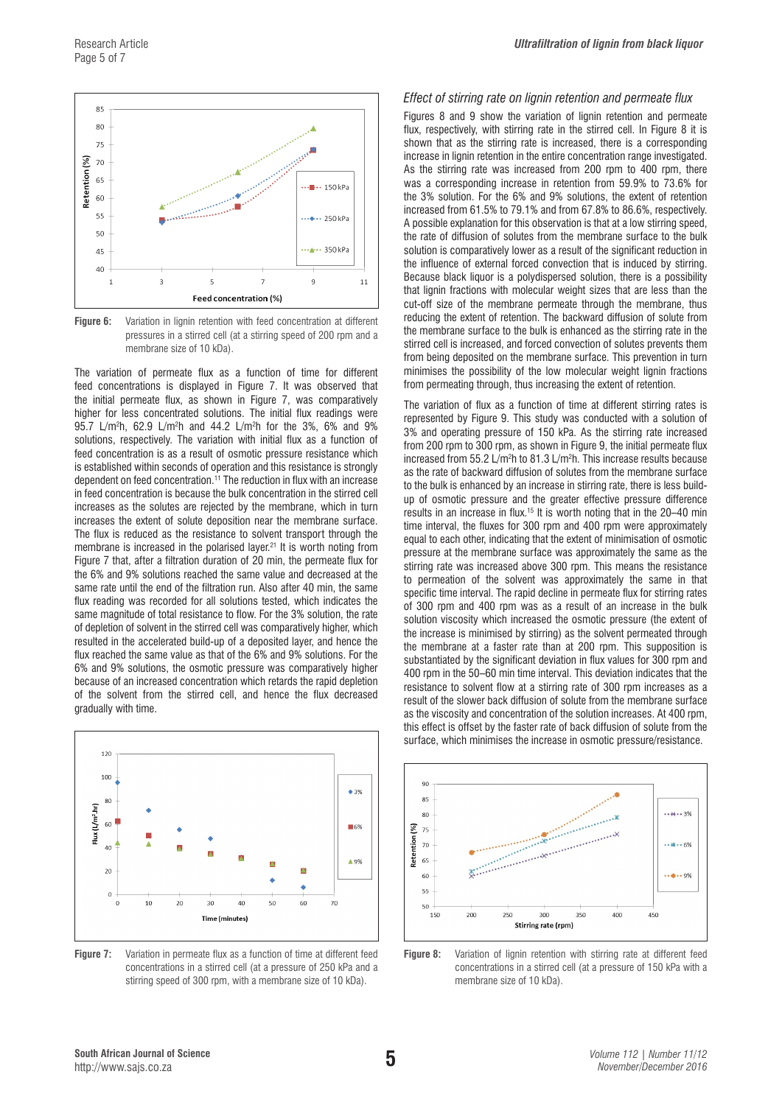

**Figure 6:** Variation in lignin retention with feed concentration at different **propertion** the more pressures in a stirred cell (at a stirring speed of 200 rpm and a membrane size of 10 kDa).

The variation of permeate flux as a function of time for different feed concentrations is displayed in Figure 7. It was observed that the initial permeate flux, as shown in Figure 7, was comparatively higher for less concentrated solutions. The initial flux readings were 95.7 L/m2 h, 62.9 L/m2 h and 44.2 L/m2 h for the 3%, 6% and 9% solutions, respectively. The variation with initial flux as a function of feed concentration is as a result of osmotic pressure resistance which is established within seconds of operation and this resistance is strongly dependent on feed concentration.<sup>11</sup> The reduction in flux with an increase in feed concentration is because the bulk concentration in the stirred cell increases as the solutes are rejected by the membrane, which in turn increases the extent of solute deposition near the membrane surface. The flux is reduced as the resistance to solvent transport through the membrane is increased in the polarised layer.<sup>21</sup> It is worth noting from Figure 7 that, after a filtration duration of 20 min, the permeate flux for the 6% and 9% solutions reached the same value and decreased at the same rate until the end of the filtration run. Also after 40 min, the same flux reading was recorded for all solutions tested, which indicates the same magnitude of total resistance to flow. For the 3% solution, the rate of depletion of solvent in the stirred cell was comparatively higher, which resulted in the accelerated build-up of a deposited layer, and hence the flux reached the same value as that of the 6% and 9% solutions. For the 6% and 9% solutions, the osmotic pressure was comparatively higher because of an increased concentration which retards the rapid depletion of the solvent from the stirred cell, and hence the flux decreased gradually with time.



**Figure 7:** Variation in permeate flux as a function of time at different feed concentrations in a stirred cell (at a pressure of 250 kPa and a stirring speed of 300 rpm, with a membrane size of 10 kDa).

#### *Effect of stirring rate on lignin retention and permeate flux*

Figures 8 and 9 show the variation of lignin retention and permeate flux, respectively, with stirring rate in the stirred cell. In Figure 8 it is shown that as the stirring rate is increased, there is a corresponding increase in lignin retention in the entire concentration range investigated. As the stirring rate was increased from 200 rpm to 400 rpm, there was a corresponding increase in retention from 59.9% to 73.6% for the 3% solution. For the 6% and 9% solutions, the extent of retention increased from 61.5% to 79.1% and from 67.8% to 86.6%, respectively. A possible explanation for this observation is that at a low stirring speed, the rate of diffusion of solutes from the membrane surface to the bulk solution is comparatively lower as a result of the significant reduction in the influence of external forced convection that is induced by stirring. Because black liquor is a polydispersed solution, there is a possibility that lignin fractions with molecular weight sizes that are less than the cut-off size of the membrane permeate through the membrane, thus reducing the extent of retention. The backward diffusion of solute from the membrane surface to the bulk is enhanced as the stirring rate in the stirred cell is increased, and forced convection of solutes prevents them from being deposited on the membrane surface. This prevention in turn minimises the possibility of the low molecular weight lignin fractions from permeating through, thus increasing the extent of retention.

The variation of flux as a function of time at different stirring rates is represented by Figure 9. This study was conducted with a solution of 3% and operating pressure of 150 kPa. As the stirring rate increased from 200 rpm to 300 rpm, as shown in Figure 9, the initial permeate flux increased from 55.2 L/m<sup>2</sup>h to 81.3 L/m<sup>2</sup>h. This increase results because as the rate of backward diffusion of solutes from the membrane surface to the bulk is enhanced by an increase in stirring rate, there is less buildup of osmotic pressure and the greater effective pressure difference results in an increase in flux.15 It is worth noting that in the 20–40 min time interval, the fluxes for 300 rpm and 400 rpm were approximately equal to each other, indicating that the extent of minimisation of osmotic pressure at the membrane surface was approximately the same as the stirring rate was increased above 300 rpm. This means the resistance to permeation of the solvent was approximately the same in that specific time interval. The rapid decline in permeate flux for stirring rates of 300 rpm and 400 rpm was as a result of an increase in the bulk solution viscosity which increased the osmotic pressure (the extent of the increase is minimised by stirring) as the solvent permeated through the membrane at a faster rate than at 200 rpm. This supposition is substantiated by the significant deviation in flux values for 300 rpm and 400 rpm in the 50–60 min time interval. This deviation indicates that the resistance to solvent flow at a stirring rate of 300 rpm increases as a result of the slower back diffusion of solute from the membrane surface as the viscosity and concentration of the solution increases. At 400 rpm, this effect is offset by the faster rate of back diffusion of solute from the surface, which minimises the increase in osmotic pressure/resistance.



Figure 8: Variation of lignin retention with stirring rate at different feed concentrations in a stirred cell (at a pressure of 150 kPa with a membrane size of 10 kDa).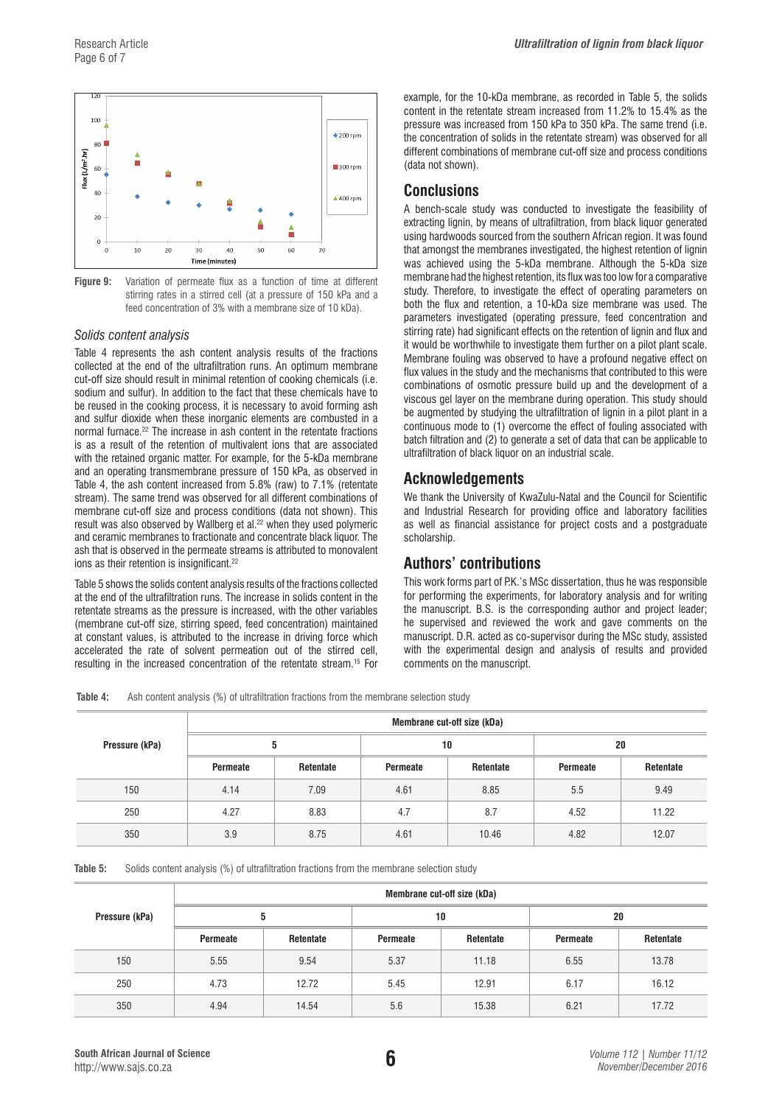

**Figure 9:** Variation of permeate flux as a function of time at different stirring rates in a stirred stirring rates in a stirred cell (at a pressure of 150 kPa and a **Figure 9:** Variation of permeate flux as a function of time at different feed concentration of 3% with a membrane size of 10 kDa).

### *Solids content analysis*

Table 4 represents the ash content analysis results of the fractions collected at the end of the ultrafiltration runs. An optimum membrane cut-off size should result in minimal retention of cooking chemicals (i.e. sodium and sulfur). In addition to the fact that these chemicals have to be reused in the cooking process, it is necessary to avoid forming ash and sulfur dioxide when these inorganic elements are combusted in a normal furnace.22 The increase in ash content in the retentate fractions is as a result of the retention of multivalent ions that are associated with the retained organic matter. For example, for the 5-kDa membrane and an operating transmembrane pressure of 150 kPa, as observed in Table 4, the ash content increased from 5.8% (raw) to 7.1% (retentate stream). The same trend was observed for all different combinations of membrane cut-off size and process conditions (data not shown). This result was also observed by Wallberg et al.22 when they used polymeric and ceramic membranes to fractionate and concentrate black liquor. The ash that is observed in the permeate streams is attributed to monovalent ions as their retention is insignificant.<sup>22</sup>

Table 5 shows the solids content analysis results of the fractions collected at the end of the ultrafiltration runs. The increase in solids content in the retentate streams as the pressure is increased, with the other variables (membrane cut-off size, stirring speed, feed concentration) maintained at constant values, is attributed to the increase in driving force which accelerated the rate of solvent permeation out of the stirred cell, resulting in the increased concentration of the retentate stream.15 For

example, for the 10-kDa membrane, as recorded in Table 5, the solids content in the retentate stream increased from 11.2% to 15.4% as the pressure was increased from 150 kPa to 350 kPa. The same trend (i.e. the concentration of solids in the retentate stream) was observed for all different combinations of membrane cut-off size and process conditions (data not shown).

# **Conclusions**

A bench-scale study was conducted to investigate the feasibility of extracting lignin, by means of ultrafiltration, from black liquor generated using hardwoods sourced from the southern African region. It was found that amongst the membranes investigated, the highest retention of lignin was achieved using the 5-kDa membrane. Although the 5-kDa size membrane had the highest retention, its flux was too low for a comparative study. Therefore, to investigate the effect of operating parameters on both the flux and retention, a 10-kDa size membrane was used. The parameters investigated (operating pressure, feed concentration and stirring rate) had significant effects on the retention of lignin and flux and it would be worthwhile to investigate them further on a pilot plant scale. Membrane fouling was observed to have a profound negative effect on flux values in the study and the mechanisms that contributed to this were combinations of osmotic pressure build up and the development of a viscous gel layer on the membrane during operation. This study should be augmented by studying the ultrafiltration of lignin in a pilot plant in a continuous mode to (1) overcome the effect of fouling associated with batch filtration and (2) to generate a set of data that can be applicable to ultrafiltration of black liquor on an industrial scale.

# **Acknowledgements**

We thank the University of KwaZulu-Natal and the Council for Scientific and Industrial Research for providing office and laboratory facilities as well as financial assistance for project costs and a postgraduate scholarship.

# **Authors' contributions**

This work forms part of P.K.'s MSc dissertation, thus he was responsible for performing the experiments, for laboratory analysis and for writing the manuscript. B.S. is the corresponding author and project leader; he supervised and reviewed the work and gave comments on the manuscript. D.R. acted as co-supervisor during the MSc study, assisted with the experimental design and analysis of results and provided comments on the manuscript.

**Table 4:** Ash content analysis (%) of ultrafiltration fractions from the membrane selection study

|                | Membrane cut-off size (kDa) |           |          |           |          |           |  |  |
|----------------|-----------------------------|-----------|----------|-----------|----------|-----------|--|--|
| Pressure (kPa) | 5                           |           | 10       |           | 20       |           |  |  |
|                | Permeate                    | Retentate | Permeate | Retentate | Permeate | Retentate |  |  |
| 150            | 4.14                        | 7.09      | 4.61     | 8.85      | 5.5      | 9.49      |  |  |
| 250            | 4.27                        | 8.83      | 4.7      | 8.7       | 4.52     | 11.22     |  |  |
| 350            | 3.9                         | 8.75      | 4.61     | 10.46     | 4.82     | 12.07     |  |  |

**Table 5:** Solids content analysis (%) of ultrafiltration fractions from the membrane selection study

|                | Membrane cut-off size (kDa) |           |                       |       |          |           |  |  |  |
|----------------|-----------------------------|-----------|-----------------------|-------|----------|-----------|--|--|--|
| Pressure (kPa) |                             | 5         |                       | 10    | 20       |           |  |  |  |
|                | Permeate                    | Retentate | Retentate<br>Permeate |       | Permeate | Retentate |  |  |  |
| 150            | 5.55                        | 9.54      | 5.37                  | 11.18 | 6.55     | 13.78     |  |  |  |
| 250            | 4.73                        | 12.72     | 5.45                  | 12.91 | 6.17     | 16.12     |  |  |  |
| 350            | 4.94                        | 14.54     | 5.6                   | 15.38 | 6.21     | 17.72     |  |  |  |